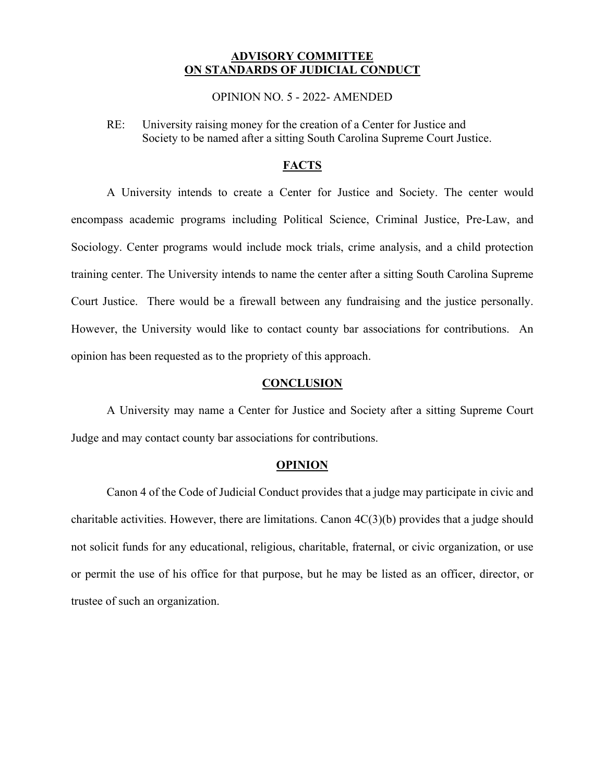## **ADVISORY COMMITTEE ON STANDARDS OF JUDICIAL CONDUCT**

OPINION NO. 5 - 2022- AMENDED

RE: University raising money for the creation of a Center for Justice and Society to be named after a sitting South Carolina Supreme Court Justice.

## **FACTS**

A University intends to create a Center for Justice and Society. The center would encompass academic programs including Political Science, Criminal Justice, Pre-Law, and Sociology. Center programs would include mock trials, crime analysis, and a child protection training center. The University intends to name the center after a sitting South Carolina Supreme Court Justice. There would be a firewall between any fundraising and the justice personally. However, the University would like to contact county bar associations for contributions. An opinion has been requested as to the propriety of this approach.

## **CONCLUSION**

A University may name a Center for Justice and Society after a sitting Supreme Court Judge and may contact county bar associations for contributions.

## **OPINION**

Canon 4 of the Code of Judicial Conduct provides that a judge may participate in civic and charitable activities. However, there are limitations. Canon  $4C(3)(b)$  provides that a judge should not solicit funds for any educational, religious, charitable, fraternal, or civic organization, or use or permit the use of his office for that purpose, but he may be listed as an officer, director, or trustee of such an organization.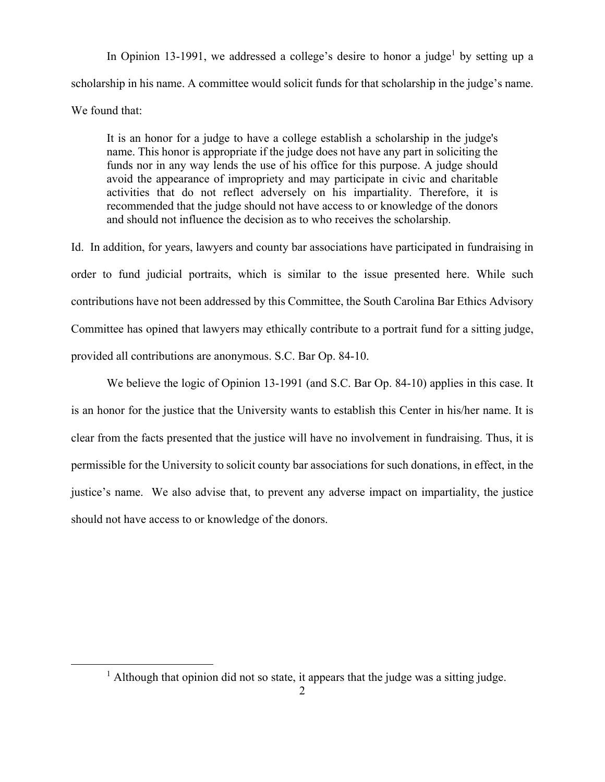In Opinion 13-1991, we addressed a college's desire to honor a judge<sup>1</sup> by setting up a scholarship in his name. A committee would solicit funds for that scholarship in the judge's name. We found that:

It is an honor for a judge to have a college establish a scholarship in the judge's name. This honor is appropriate if the judge does not have any part in soliciting the funds nor in any way lends the use of his office for this purpose. A judge should avoid the appearance of impropriety and may participate in civic and charitable activities that do not reflect adversely on his impartiality. Therefore, it is recommended that the judge should not have access to or knowledge of the donors and should not influence the decision as to who receives the scholarship.

Id. In addition, for years, lawyers and county bar associations have participated in fundraising in order to fund judicial portraits, which is similar to the issue presented here. While such contributions have not been addressed by this Committee, the South Carolina Bar Ethics Advisory Committee has opined that lawyers may ethically contribute to a portrait fund for a sitting judge, provided all contributions are anonymous. S.C. Bar Op. 84-10.

We believe the logic of Opinion 13-1991 (and S.C. Bar Op. 84-10) applies in this case. It is an honor for the justice that the University wants to establish this Center in his/her name. It is clear from the facts presented that the justice will have no involvement in fundraising. Thus, it is permissible for the University to solicit county bar associations for such donations, in effect, in the justice's name. We also advise that, to prevent any adverse impact on impartiality, the justice should not have access to or knowledge of the donors.

 $\overline{a}$ 

<sup>&</sup>lt;sup>1</sup> Although that opinion did not so state, it appears that the judge was a sitting judge.